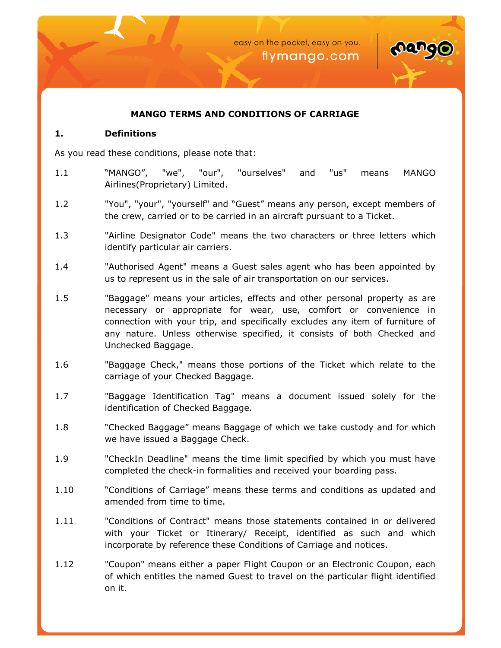

## **MANGO TERMS AND CONDITIONS OF CARRIAGE**

#### **1. Definitions**

As you read these conditions, please note that:

- 1.1 "MANGO", "we", "our", "ourselves" and "us" means MANGO Airlines(Proprietary) Limited.
- 1.2 "You", "your", "yourself" and "Guest" means any person, except members of the crew, carried or to be carried in an aircraft pursuant to a Ticket.
- 1.3 "Airline Designator Code" means the two characters or three letters which identify particular air carriers.
- 1.4 "Authorised Agent" means a Guest sales agent who has been appointed by us to represent us in the sale of air transportation on our services.
- 1.5 "Baggage" means your articles, effects and other personal property as are necessary or appropriate for wear, use, comfort or convenience in connection with your trip, and specifically excludes any item of furniture of any nature. Unless otherwise specified, it consists of both Checked and Unchecked Baggage.
- 1.6 "Baggage Check," means those portions of the Ticket which relate to the carriage of your Checked Baggage.
- 1.7 "Baggage Identification Tag" means a document issued solely for the identification of Checked Baggage.
- 1.8 "Checked Baggage" means Baggage of which we take custody and for which we have issued a Baggage Check.
- 1.9 "CheckIn Deadline" means the time limit specified by which you must have completed the check-in formalities and received your boarding pass.
- 1.10 "Conditions of Carriage" means these terms and conditions as updated and amended from time to time.
- 1.11 "Conditions of Contract" means those statements contained in or delivered with your Ticket or Itinerary/ Receipt, identified as such and which incorporate by reference these Conditions of Carriage and notices.
- 1.12 "Coupon" means either a paper Flight Coupon or an Electronic Coupon, each of which entitles the named Guest to travel on the particular flight identified on it.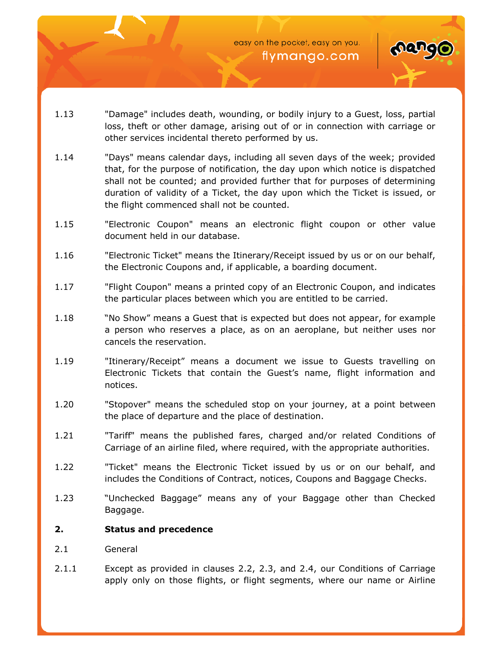

- 1.13 "Damage" includes death, wounding, or bodily injury to a Guest, loss, partial loss, theft or other damage, arising out of or in connection with carriage or other services incidental thereto performed by us.
- 1.14 "Days" means calendar days, including all seven days of the week; provided that, for the purpose of notification, the day upon which notice is dispatched shall not be counted; and provided further that for purposes of determining duration of validity of a Ticket, the day upon which the Ticket is issued, or the flight commenced shall not be counted.
- 1.15 "Electronic Coupon" means an electronic flight coupon or other value document held in our database.
- 1.16 "Electronic Ticket" means the Itinerary/Receipt issued by us or on our behalf, the Electronic Coupons and, if applicable, a boarding document.
- 1.17 "Flight Coupon" means a printed copy of an Electronic Coupon, and indicates the particular places between which you are entitled to be carried.
- 1.18 "No Show" means a Guest that is expected but does not appear, for example a person who reserves a place, as on an aeroplane, but neither uses nor cancels the reservation.
- 1.19 "Itinerary/Receipt" means a document we issue to Guests travelling on Electronic Tickets that contain the Guest's name, flight information and notices.
- 1.20 "Stopover" means the scheduled stop on your journey, at a point between the place of departure and the place of destination.
- 1.21 "Tariff" means the published fares, charged and/or related Conditions of Carriage of an airline filed, where required, with the appropriate authorities.
- 1.22 "Ticket" means the Electronic Ticket issued by us or on our behalf, and includes the Conditions of Contract, notices, Coupons and Baggage Checks.
- 1.23 "Unchecked Baggage" means any of your Baggage other than Checked Baggage.

# **2. Status and precedence**

- 2.1 General
- 2.1.1 Except as provided in clauses 2.2, 2.3, and 2.4, our Conditions of Carriage apply only on those flights, or flight segments, where our name or Airline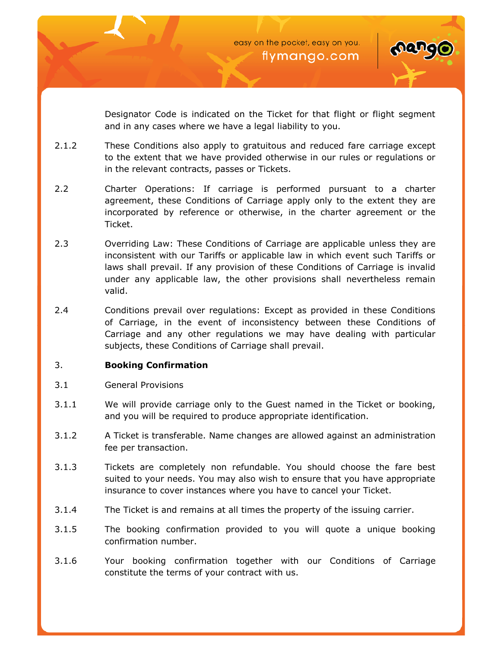



Designator Code is indicated on the Ticket for that flight or flight segment and in any cases where we have a legal liability to you.

- 2.1.2 These Conditions also apply to gratuitous and reduced fare carriage except to the extent that we have provided otherwise in our rules or regulations or in the relevant contracts, passes or Tickets.
- 2.2 Charter Operations: If carriage is performed pursuant to a charter agreement, these Conditions of Carriage apply only to the extent they are incorporated by reference or otherwise, in the charter agreement or the Ticket.
- 2.3 Overriding Law: These Conditions of Carriage are applicable unless they are inconsistent with our Tariffs or applicable law in which event such Tariffs or laws shall prevail. If any provision of these Conditions of Carriage is invalid under any applicable law, the other provisions shall nevertheless remain valid.
- 2.4 Conditions prevail over regulations: Except as provided in these Conditions of Carriage, in the event of inconsistency between these Conditions of Carriage and any other regulations we may have dealing with particular subjects, these Conditions of Carriage shall prevail.

## 3. **Booking Confirmation**

- 3.1 General Provisions
- 3.1.1 We will provide carriage only to the Guest named in the Ticket or booking, and you will be required to produce appropriate identification.
- 3.1.2 A Ticket is transferable. Name changes are allowed against an administration fee per transaction.
- 3.1.3 Tickets are completely non refundable. You should choose the fare best suited to your needs. You may also wish to ensure that you have appropriate insurance to cover instances where you have to cancel your Ticket.
- 3.1.4 The Ticket is and remains at all times the property of the issuing carrier.
- 3.1.5 The booking confirmation provided to you will quote a unique booking confirmation number.
- 3.1.6 Your booking confirmation together with our Conditions of Carriage constitute the terms of your contract with us.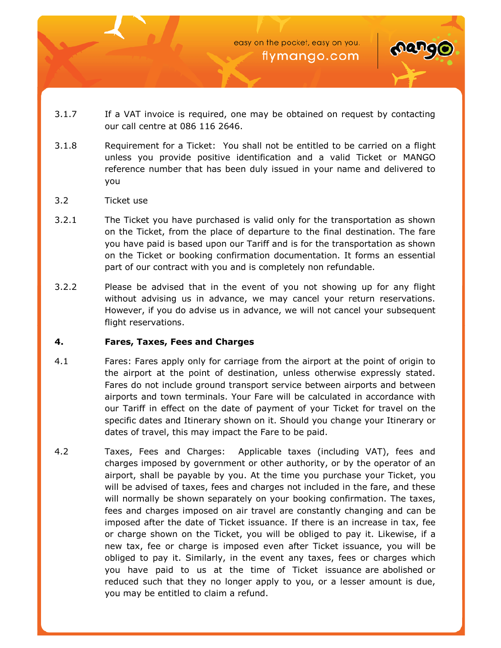

- 3.1.7 If a VAT invoice is required, one may be obtained on request by contacting our call centre at 086 116 2646.
- 3.1.8 Requirement for a Ticket: You shall not be entitled to be carried on a flight unless you provide positive identification and a valid Ticket or MANGO reference number that has been duly issued in your name and delivered to you
- 3.2 Ticket use
- 3.2.1 The Ticket you have purchased is valid only for the transportation as shown on the Ticket, from the place of departure to the final destination. The fare you have paid is based upon our Tariff and is for the transportation as shown on the Ticket or booking confirmation documentation. It forms an essential part of our contract with you and is completely non refundable.
- 3.2.2 Please be advised that in the event of you not showing up for any flight without advising us in advance, we may cancel your return reservations. However, if you do advise us in advance, we will not cancel your subsequent flight reservations.

## **4. Fares, Taxes, Fees and Charges**

- 4.1 Fares: Fares apply only for carriage from the airport at the point of origin to the airport at the point of destination, unless otherwise expressly stated. Fares do not include ground transport service between airports and between airports and town terminals. Your Fare will be calculated in accordance with our Tariff in effect on the date of payment of your Ticket for travel on the specific dates and Itinerary shown on it. Should you change your Itinerary or dates of travel, this may impact the Fare to be paid.
- 4.2 Taxes, Fees and Charges: Applicable taxes (including VAT), fees and charges imposed by government or other authority, or by the operator of an airport, shall be payable by you. At the time you purchase your Ticket, you will be advised of taxes, fees and charges not included in the fare, and these will normally be shown separately on your booking confirmation. The taxes, fees and charges imposed on air travel are constantly changing and can be imposed after the date of Ticket issuance. If there is an increase in tax, fee or charge shown on the Ticket, you will be obliged to pay it. Likewise, if a new tax, fee or charge is imposed even after Ticket issuance, you will be obliged to pay it. Similarly, in the event any taxes, fees or charges which you have paid to us at the time of Ticket issuance are abolished or reduced such that they no longer apply to you, or a lesser amount is due, you may be entitled to claim a refund.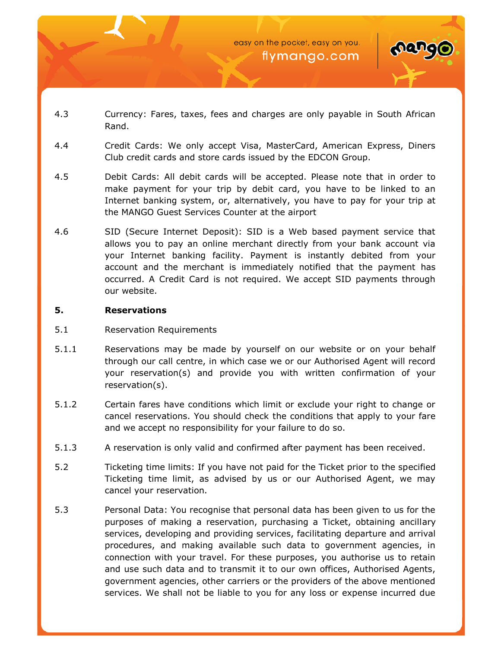

- 4.3 Currency: Fares, taxes, fees and charges are only payable in South African Rand.
- 4.4 Credit Cards: We only accept Visa, MasterCard, American Express, Diners Club credit cards and store cards issued by the EDCON Group.
- 4.5 Debit Cards: All debit cards will be accepted. Please note that in order to make payment for your trip by debit card, you have to be linked to an Internet banking system, or, alternatively, you have to pay for your trip at the MANGO Guest Services Counter at the airport
- 4.6 SID (Secure Internet Deposit): SID is a Web based payment service that allows you to pay an online merchant directly from your bank account via your Internet banking facility. Payment is instantly debited from your account and the merchant is immediately notified that the payment has occurred. A Credit Card is not required. We accept SID payments through our website.

#### **5. Reservations**

- 5.1 Reservation Requirements
- 5.1.1 Reservations may be made by yourself on our website or on your behalf through our call centre, in which case we or our Authorised Agent will record your reservation(s) and provide you with written confirmation of your reservation(s).
- 5.1.2 Certain fares have conditions which limit or exclude your right to change or cancel reservations. You should check the conditions that apply to your fare and we accept no responsibility for your failure to do so.
- 5.1.3 A reservation is only valid and confirmed after payment has been received.
- 5.2 Ticketing time limits: If you have not paid for the Ticket prior to the specified Ticketing time limit, as advised by us or our Authorised Agent, we may cancel your reservation.
- 5.3 Personal Data: You recognise that personal data has been given to us for the purposes of making a reservation, purchasing a Ticket, obtaining ancillary services, developing and providing services, facilitating departure and arrival procedures, and making available such data to government agencies, in connection with your travel. For these purposes, you authorise us to retain and use such data and to transmit it to our own offices, Authorised Agents, government agencies, other carriers or the providers of the above mentioned services. We shall not be liable to you for any loss or expense incurred due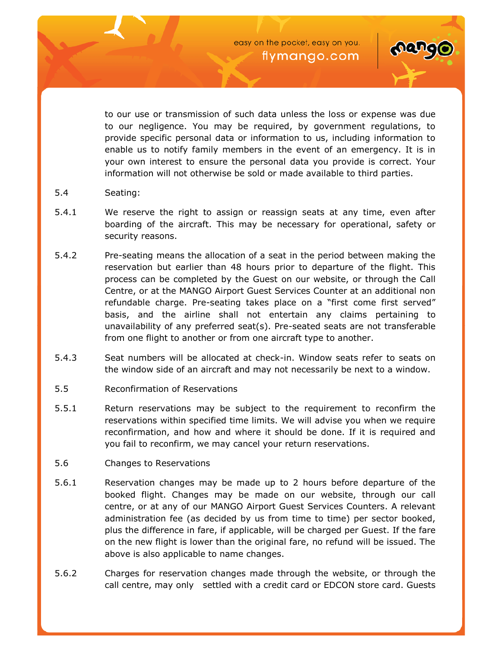

to our use or transmission of such data unless the loss or expense was due to our negligence. You may be required, by government regulations, to provide specific personal data or information to us, including information to enable us to notify family members in the event of an emergency. It is in your own interest to ensure the personal data you provide is correct. Your information will not otherwise be sold or made available to third parties.

- 5.4 Seating:
- 5.4.1 We reserve the right to assign or reassign seats at any time, even after boarding of the aircraft. This may be necessary for operational, safety or security reasons.
- 5.4.2 Pre-seating means the allocation of a seat in the period between making the reservation but earlier than 48 hours prior to departure of the flight. This process can be completed by the Guest on our website, or through the Call Centre, or at the MANGO Airport Guest Services Counter at an additional non refundable charge. Pre-seating takes place on a "first come first served" basis, and the airline shall not entertain any claims pertaining to unavailability of any preferred seat(s). Pre-seated seats are not transferable from one flight to another or from one aircraft type to another.
- 5.4.3 Seat numbers will be allocated at check-in. Window seats refer to seats on the window side of an aircraft and may not necessarily be next to a window.
- 5.5 Reconfirmation of Reservations
- 5.5.1 Return reservations may be subject to the requirement to reconfirm the reservations within specified time limits. We will advise you when we require reconfirmation, and how and where it should be done. If it is required and you fail to reconfirm, we may cancel your return reservations.
- 5.6 Changes to Reservations
- 5.6.1 Reservation changes may be made up to 2 hours before departure of the booked flight. Changes may be made on our website, through our call centre, or at any of our MANGO Airport Guest Services Counters. A relevant administration fee (as decided by us from time to time) per sector booked, plus the difference in fare, if applicable, will be charged per Guest. If the fare on the new flight is lower than the original fare, no refund will be issued. The above is also applicable to name changes.
- 5.6.2 Charges for reservation changes made through the website, or through the call centre, may only settled with a credit card or EDCON store card. Guests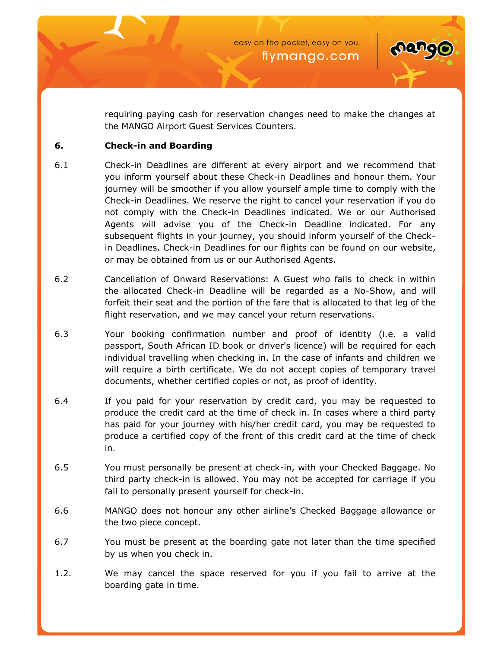

requiring paying cash for reservation changes need to make the changes at the MANGO Airport Guest Services Counters.

## **6. Check-in and Boarding**

- 6.1 Check-in Deadlines are different at every airport and we recommend that you inform yourself about these Check-in Deadlines and honour them. Your journey will be smoother if you allow yourself ample time to comply with the Check-in Deadlines. We reserve the right to cancel your reservation if you do not comply with the Check-in Deadlines indicated. We or our Authorised Agents will advise you of the Check-in Deadline indicated. For any subsequent flights in your journey, you should inform yourself of the Checkin Deadlines. Check-in Deadlines for our flights can be found on our website, or may be obtained from us or our Authorised Agents.
- 6.2 Cancellation of Onward Reservations: A Guest who fails to check in within the allocated Check-in Deadline will be regarded as a No-Show, and will forfeit their seat and the portion of the fare that is allocated to that leg of the flight reservation, and we may cancel your return reservations.
- 6.3 Your booking confirmation number and proof of identity (i.e. a valid passport, South African ID book or driver's licence) will be required for each individual travelling when checking in. In the case of infants and children we will require a birth certificate. We do not accept copies of temporary travel documents, whether certified copies or not, as proof of identity.
- 6.4 If you paid for your reservation by credit card, you may be requested to produce the credit card at the time of check in. In cases where a third party has paid for your journey with his/her credit card, you may be requested to produce a certified copy of the front of this credit card at the time of check in.
- 6.5 You must personally be present at check-in, with your Checked Baggage. No third party check-in is allowed. You may not be accepted for carriage if you fail to personally present yourself for check-in.
- 6.6 MANGO does not honour any other airline's Checked Baggage allowance or the two piece concept.
- 6.7 You must be present at the boarding gate not later than the time specified by us when you check in.
- 1.2. We may cancel the space reserved for you if you fail to arrive at the boarding gate in time.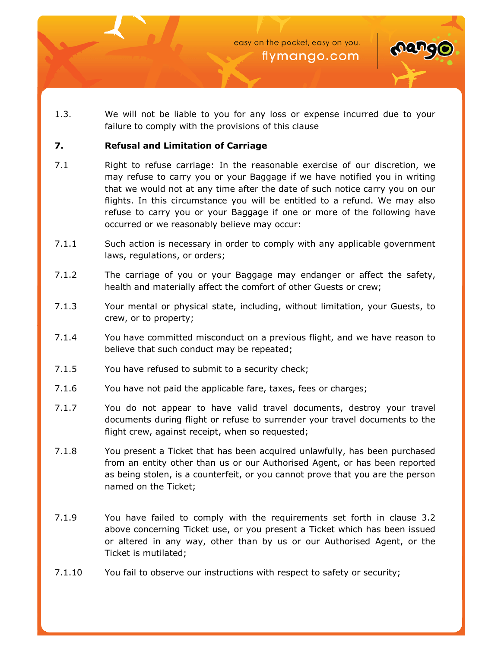

1.3. We will not be liable to you for any loss or expense incurred due to your failure to comply with the provisions of this clause

## **7. Refusal and Limitation of Carriage**

- 7.1 Right to refuse carriage: In the reasonable exercise of our discretion, we may refuse to carry you or your Baggage if we have notified you in writing that we would not at any time after the date of such notice carry you on our flights. In this circumstance you will be entitled to a refund. We may also refuse to carry you or your Baggage if one or more of the following have occurred or we reasonably believe may occur:
- 7.1.1 Such action is necessary in order to comply with any applicable government laws, regulations, or orders;
- 7.1.2 The carriage of you or your Baggage may endanger or affect the safety, health and materially affect the comfort of other Guests or crew;
- 7.1.3 Your mental or physical state, including, without limitation, your Guests, to crew, or to property;
- 7.1.4 You have committed misconduct on a previous flight, and we have reason to believe that such conduct may be repeated;
- 7.1.5 You have refused to submit to a security check;
- 7.1.6 You have not paid the applicable fare, taxes, fees or charges;
- 7.1.7 You do not appear to have valid travel documents, destroy your travel documents during flight or refuse to surrender your travel documents to the flight crew, against receipt, when so requested;
- 7.1.8 You present a Ticket that has been acquired unlawfully, has been purchased from an entity other than us or our Authorised Agent, or has been reported as being stolen, is a counterfeit, or you cannot prove that you are the person named on the Ticket;
- 7.1.9 You have failed to comply with the requirements set forth in clause 3.2 above concerning Ticket use, or you present a Ticket which has been issued or altered in any way, other than by us or our Authorised Agent, or the Ticket is mutilated;
- 7.1.10 You fail to observe our instructions with respect to safety or security;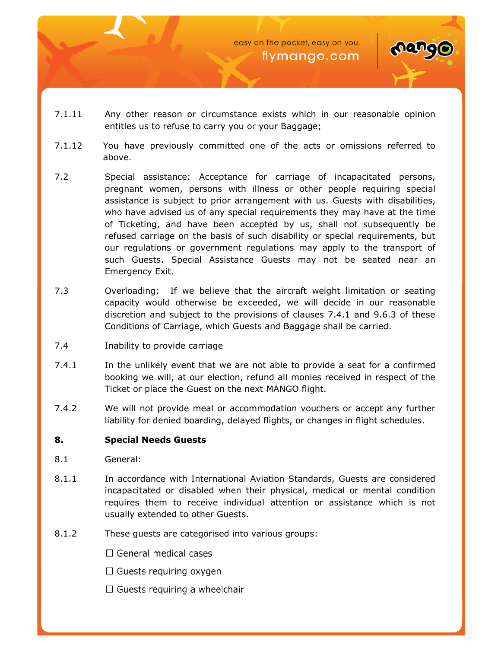



- 7.1.11 Any other reason or circumstance exists which in our reasonable opinion entitles us to refuse to carry you or your Baggage;
- 7.1.12 You have previously committed one of the acts or omissions referred to above.
- 7.2 Special assistance: Acceptance for carriage of incapacitated persons, pregnant women, persons with illness or other people requiring special assistance is subject to prior arrangement with us. Guests with disabilities, who have advised us of any special requirements they may have at the time of Ticketing, and have been accepted by us, shall not subsequently be refused carriage on the basis of such disability or special requirements, but our regulations or government regulations may apply to the transport of such Guests. Special Assistance Guests may not be seated near an Emergency Exit.
- 7.3 Overloading: If we believe that the aircraft weight limitation or seating capacity would otherwise be exceeded, we will decide in our reasonable discretion and subject to the provisions of clauses 7.4.1 and 9.6.3 of these Conditions of Carriage, which Guests and Baggage shall be carried.
- 7.4 Inability to provide carriage
- 7.4.1 In the unlikely event that we are not able to provide a seat for a confirmed booking we will, at our election, refund all monies received in respect of the Ticket or place the Guest on the next MANGO flight.
- 7.4.2 We will not provide meal or accommodation vouchers or accept any further liability for denied boarding, delayed flights, or changes in flight schedules.

# **8. Special Needs Guests**

- 8.1 General:
- 8.1.1 In accordance with International Aviation Standards, Guests are considered incapacitated or disabled when their physical, medical or mental condition requires them to receive individual attention or assistance which is not usually extended to other Guests.
- 8.1.2 These guests are categorised into various groups:
	- $\Box$  General medical cases
	- $\Box$  Guests requiring oxygen
	- $\Box$  Guests requiring a wheelchair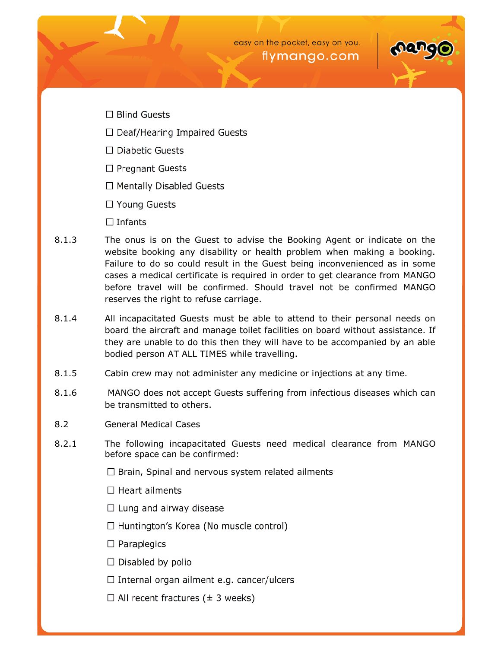

- $\Box$  Blind Guests
- $\Box$  Deaf/Hearing Impaired Guests
- $\Box$  Diabetic Guests
- $\Box$  Pregnant Guests
- □ Mentally Disabled Guests
- □ Young Guests
- $\Box$  Infants
- 8.1.3 The onus is on the Guest to advise the Booking Agent or indicate on the website booking any disability or health problem when making a booking. Failure to do so could result in the Guest being inconvenienced as in some cases a medical certificate is required in order to get clearance from MANGO before travel will be confirmed. Should travel not be confirmed MANGO reserves the right to refuse carriage.
- 8.1.4 All incapacitated Guests must be able to attend to their personal needs on board the aircraft and manage toilet facilities on board without assistance. If they are unable to do this then they will have to be accompanied by an able bodied person AT ALL TIMES while travelling.
- 8.1.5 Cabin crew may not administer any medicine or injections at any time.
- 8.1.6 MANGO does not accept Guests suffering from infectious diseases which can be transmitted to others.
- 8.2 General Medical Cases
- 8.2.1 The following incapacitated Guests need medical clearance from MANGO before space can be confirmed:
	- $\Box$  Brain, Spinal and nervous system related ailments
	- $\Box$  Heart ailments
	- $\Box$  Lung and airway disease
	- $\Box$  Huntington's Korea (No muscle control)
	- $\Box$  Paraplegics
	- $\Box$  Disabled by polio
	- $\Box$  Internal organ ailment e.g. cancer/ulcers
	- $\Box$  All recent fractures ( $\pm$  3 weeks)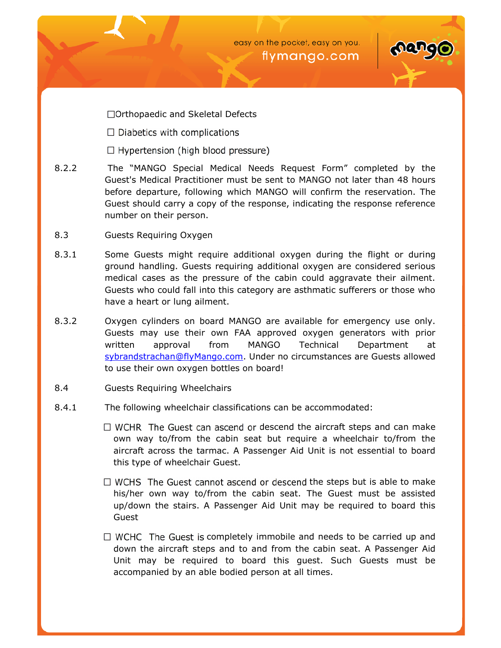#### Orthopaedic and Skeletal Defects

- 8.2.2 The MANG OSpecial Medical Needs Request Form completed Guest's Medical Practitioner mush tall **Gentlater** than 48 hours befordeparture, following MANGOWill confirm the reservation. The Guest should carry a copy of the response, indicating the response number on their person.
- 8.3 Guests Requiring Oxygen
- 8.3.1 Some Guests might require additional oxygleght ugrinduring ground handling. Guests requiring additional oxygen are consi medical cases as the pressure of the cabin could aggravate t Guests who could fall into this category are asthmatic sufferers have a hear lung ailment.
- 8.3.2 Oxygen cylinders on MbAd backer available for emergency use on [Guests may use the](mailto:sybrandstrachan@flyMango.com)ir own FAA approved oxygen generators written approval frMmANGO Technical Department at sybrandstrachan@flyManUgrodeonmo circumstances are Guests allo to use their own oxygen bottles on board!
- 8.4 Guests Requiring Wheelchairs
- 8.4.1 The following wheelchair classifications can be accommodated:

descend the aircraft steps and can  $m_i$ own way to/from the cabin seat but require a wheelchair t aircraft across the tarmac. A Passenger Aid Unit is not esse this typewohfeelchair Guest.

the steps but is able to make his/her own way to/from the cabin seat. The Guest must b up/down the stairs. A Passenger Aid Unit may be required to Guest

completely immobile and needs to be carried up down the aircraft steps and to and from the cabin seat. A  $P_i$ Unit may be required to board this quest. Such Guests accompanied by an able bodied person at all times.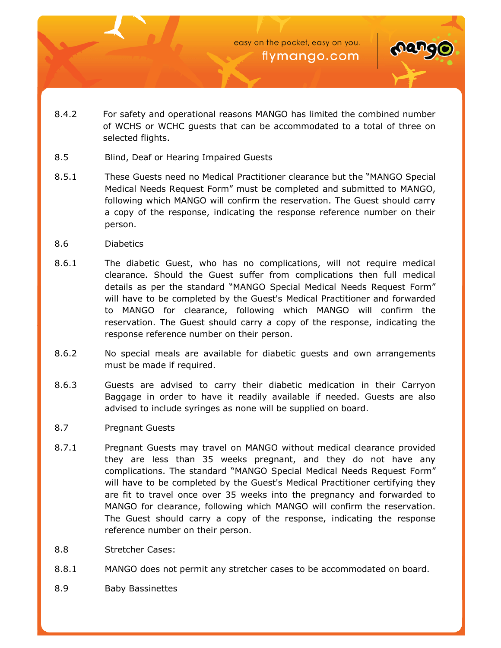

- 8.4.2 For safety and operational reasons MANGO has limited the combined number of WCHS or WCHC guests that can be accommodated to a total of three on selected flights.
- 8.5 Blind, Deaf or Hearing Impaired Guests
- 8.5.1 These Guests need no Medical Practitioner clearance but the "MANGO Special Medical Needs Request Form" must be completed and submitted to MANGO, following which MANGO will confirm the reservation. The Guest should carry a copy of the response, indicating the response reference number on their person.
- 8.6 Diabetics
- 8.6.1 The diabetic Guest, who has no complications, will not require medical clearance. Should the Guest suffer from complications then full medical details as per the standard "MANGO Special Medical Needs Request Form" will have to be completed by the Guest's Medical Practitioner and forwarded to MANGO for clearance, following which MANGO will confirm the reservation. The Guest should carry a copy of the response, indicating the response reference number on their person.
- 8.6.2 No special meals are available for diabetic guests and own arrangements must be made if required.
- 8.6.3 Guests are advised to carry their diabetic medication in their Carryon Baggage in order to have it readily available if needed. Guests are also advised to include syringes as none will be supplied on board.
- 8.7 Pregnant Guests
- 8.7.1 Pregnant Guests may travel on MANGO without medical clearance provided they are less than 35 weeks pregnant, and they do not have any complications. The standard "MANGO Special Medical Needs Request Form" will have to be completed by the Guest's Medical Practitioner certifying they are fit to travel once over 35 weeks into the pregnancy and forwarded to MANGO for clearance, following which MANGO will confirm the reservation. The Guest should carry a copy of the response, indicating the response reference number on their person.
- 8.8 Stretcher Cases:
- 8.8.1 MANGO does not permit any stretcher cases to be accommodated on board.
- 8.9 Baby Bassinettes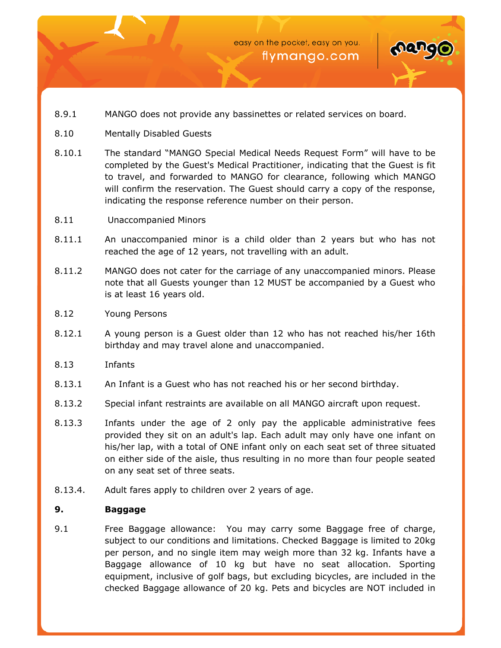



- 8.9.1 MANGO does not provide any bassinettes or related services on board.
- 8.10 Mentally Disabled Guests
- 8.10.1 The standard "MANGO Special Medical Needs Request Form" will have to be completed by the Guest's Medical Practitioner, indicating that the Guest is fit to travel, and forwarded to MANGO for clearance, following which MANGO will confirm the reservation. The Guest should carry a copy of the response, indicating the response reference number on their person.
- 8.11 Unaccompanied Minors
- 8.11.1 An unaccompanied minor is a child older than 2 years but who has not reached the age of 12 years, not travelling with an adult.
- 8.11.2 MANGO does not cater for the carriage of any unaccompanied minors. Please note that all Guests younger than 12 MUST be accompanied by a Guest who is at least 16 years old.
- 8.12 Young Persons
- 8.12.1 A young person is a Guest older than 12 who has not reached his/her 16th birthday and may travel alone and unaccompanied.
- 8.13 Infants
- 8.13.1 An Infant is a Guest who has not reached his or her second birthday.
- 8.13.2 Special infant restraints are available on all MANGO aircraft upon request.
- 8.13.3 Infants under the age of 2 only pay the applicable administrative fees provided they sit on an adult's lap. Each adult may only have one infant on his/her lap, with a total of ONE infant only on each seat set of three situated on either side of the aisle, thus resulting in no more than four people seated on any seat set of three seats.
- 8.13.4. Adult fares apply to children over 2 years of age.

# **9. Baggage**

9.1 Free Baggage allowance: You may carry some Baggage free of charge, subject to our conditions and limitations. Checked Baggage is limited to 20kg per person, and no single item may weigh more than 32 kg. Infants have a Baggage allowance of 10 kg but have no seat allocation. Sporting equipment, inclusive of golf bags, but excluding bicycles, are included in the checked Baggage allowance of 20 kg. Pets and bicycles are NOT included in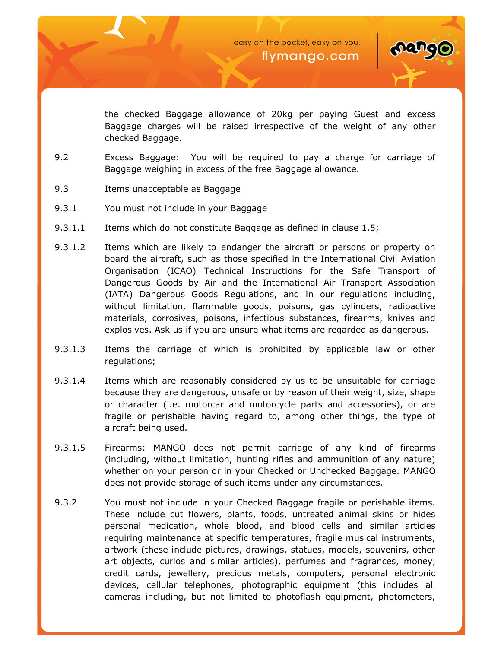

the checked Baggage allowance of 20kg per paying Guest and excess Baggage charges will be raised irrespective of the weight of any other checked Baggage.

- 9.2 Excess Baggage: You will be required to pay a charge for carriage of Baggage weighing in excess of the free Baggage allowance.
- 9.3 Items unacceptable as Baggage
- 9.3.1 You must not include in your Baggage
- 9.3.1.1 Items which do not constitute Baggage as defined in clause 1.5;
- 9.3.1.2 Items which are likely to endanger the aircraft or persons or property on board the aircraft, such as those specified in the International Civil Aviation Organisation (ICAO) Technical Instructions for the Safe Transport of Dangerous Goods by Air and the International Air Transport Association (IATA) Dangerous Goods Regulations, and in our regulations including, without limitation, flammable goods, poisons, gas cylinders, radioactive materials, corrosives, poisons, infectious substances, firearms, knives and explosives. Ask us if you are unsure what items are regarded as dangerous.
- 9.3.1.3 Items the carriage of which is prohibited by applicable law or other regulations;
- 9.3.1.4 Items which are reasonably considered by us to be unsuitable for carriage because they are dangerous, unsafe or by reason of their weight, size, shape or character (i.e. motorcar and motorcycle parts and accessories), or are fragile or perishable having regard to, among other things, the type of aircraft being used.
- 9.3.1.5 Firearms: MANGO does not permit carriage of any kind of firearms (including, without limitation, hunting rifles and ammunition of any nature) whether on your person or in your Checked or Unchecked Baggage. MANGO does not provide storage of such items under any circumstances.
- 9.3.2 You must not include in your Checked Baggage fragile or perishable items. These include cut flowers, plants, foods, untreated animal skins or hides personal medication, whole blood, and blood cells and similar articles requiring maintenance at specific temperatures, fragile musical instruments, artwork (these include pictures, drawings, statues, models, souvenirs, other art objects, curios and similar articles), perfumes and fragrances, money, credit cards, jewellery, precious metals, computers, personal electronic devices, cellular telephones, photographic equipment (this includes all cameras including, but not limited to photoflash equipment, photometers,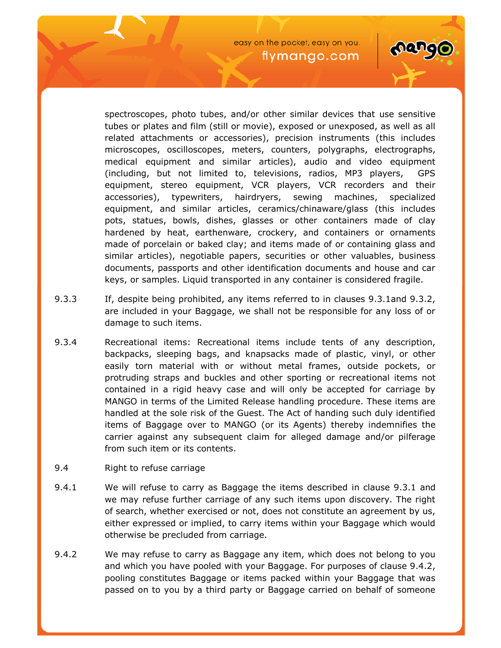

spectroscopes, photo tubes, and/or other similar devices that use sensitive tubes or plates and film (still or movie), exposed or unexposed, as well as all related attachments or accessories), precision instruments (this includes microscopes, oscilloscopes, meters, counters, polygraphs, electrographs, medical equipment and similar articles), audio and video equipment (including, but not limited to, televisions, radios, MP3 players, GPS equipment, stereo equipment, VCR players, VCR recorders and their accessories), typewriters, hairdryers, sewing machines, specialized equipment, and similar articles, ceramics/chinaware/glass (this includes pots, statues, bowls, dishes, glasses or other containers made of clay hardened by heat, earthenware, crockery, and containers or ornaments made of porcelain or baked clay; and items made of or containing glass and similar articles), negotiable papers, securities or other valuables, business documents, passports and other identification documents and house and car keys, or samples. Liquid transported in any container is considered fragile.

- 9.3.3 If, despite being prohibited, any items referred to in clauses 9.3.1and 9.3.2, are included in your Baggage, we shall not be responsible for any loss of or damage to such items.
- 9.3.4 Recreational items: Recreational items include tents of any description, backpacks, sleeping bags, and knapsacks made of plastic, vinyl, or other easily torn material with or without metal frames, outside pockets, or protruding straps and buckles and other sporting or recreational items not contained in a rigid heavy case and will only be accepted for carriage by MANGO in terms of the Limited Release handling procedure. These items are handled at the sole risk of the Guest. The Act of handing such duly identified items of Baggage over to MANGO (or its Agents) thereby indemnifies the carrier against any subsequent claim for alleged damage and/or pilferage from such item or its contents.
- 9.4 Right to refuse carriage
- 9.4.1 We will refuse to carry as Baggage the items described in clause 9.3.1 and we may refuse further carriage of any such items upon discovery. The right of search, whether exercised or not, does not constitute an agreement by us, either expressed or implied, to carry items within your Baggage which would otherwise be precluded from carriage.
- 9.4.2 We may refuse to carry as Baggage any item, which does not belong to you and which you have pooled with your Baggage. For purposes of clause 9.4.2, pooling constitutes Baggage or items packed within your Baggage that was passed on to you by a third party or Baggage carried on behalf of someone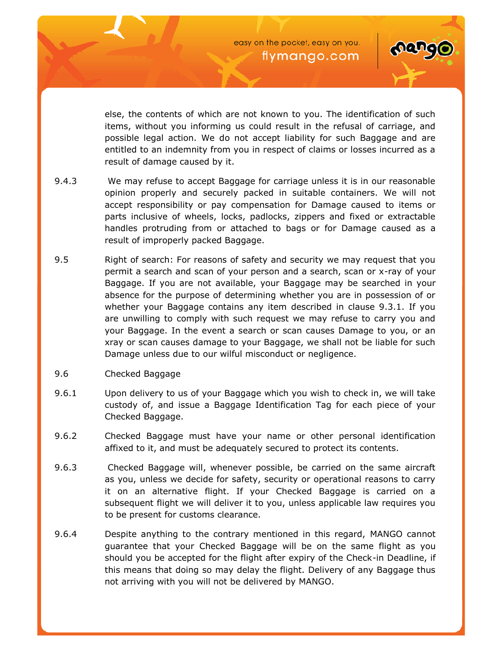

else, the contents of which are not known to you. The identification of such items, without you informing us could result in the refusal of carriage, and possible legal action. We do not accept liability for such Baggage and are entitled to an indemnity from you in respect of claims or losses incurred as a result of damage caused by it.

- 9.4.3 We may refuse to accept Baggage for carriage unless it is in our reasonable opinion properly and securely packed in suitable containers. We will not accept responsibility or pay compensation for Damage caused to items or parts inclusive of wheels, locks, padlocks, zippers and fixed or extractable handles protruding from or attached to bags or for Damage caused as a result of improperly packed Baggage.
- 9.5 Right of search: For reasons of safety and security we may request that you permit a search and scan of your person and a search, scan or x-ray of your Baggage. If you are not available, your Baggage may be searched in your absence for the purpose of determining whether you are in possession of or whether your Baggage contains any item described in clause 9.3.1. If you are unwilling to comply with such request we may refuse to carry you and your Baggage. In the event a search or scan causes Damage to you, or an xray or scan causes damage to your Baggage, we shall not be liable for such Damage unless due to our wilful misconduct or negligence.
- 9.6 Checked Baggage
- 9.6.1 Upon delivery to us of your Baggage which you wish to check in, we will take custody of, and issue a Baggage Identification Tag for each piece of your Checked Baggage.
- 9.6.2 Checked Baggage must have your name or other personal identification affixed to it, and must be adequately secured to protect its contents.
- 9.6.3 Checked Baggage will, whenever possible, be carried on the same aircraft as you, unless we decide for safety, security or operational reasons to carry it on an alternative flight. If your Checked Baggage is carried on a subsequent flight we will deliver it to you, unless applicable law requires you to be present for customs clearance.
- 9.6.4 Despite anything to the contrary mentioned in this regard, MANGO cannot guarantee that your Checked Baggage will be on the same flight as you should you be accepted for the flight after expiry of the Check-in Deadline, if this means that doing so may delay the flight. Delivery of any Baggage thus not arriving with you will not be delivered by MANGO.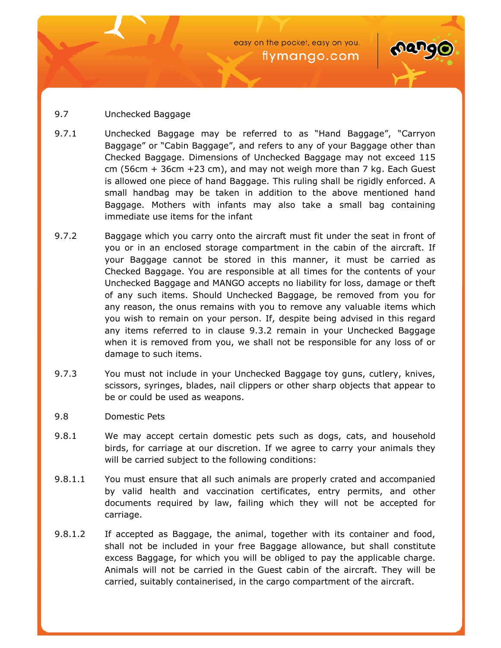

## 9.7 Unchecked Baggage

- 9.7.1 Unchecked Baggage may be referred to as "Hand Baggage", "Carryon Baggage" or "Cabin Baggage", and refers to any of your Baggage other than Checked Baggage. Dimensions of Unchecked Baggage may not exceed 115 cm (56cm + 36cm +23 cm), and may not weigh more than 7 kg. Each Guest is allowed one piece of hand Baggage. This ruling shall be rigidly enforced. A small handbag may be taken in addition to the above mentioned hand Baggage. Mothers with infants may also take a small bag containing immediate use items for the infant
- 9.7.2 Baggage which you carry onto the aircraft must fit under the seat in front of you or in an enclosed storage compartment in the cabin of the aircraft. If your Baggage cannot be stored in this manner, it must be carried as Checked Baggage. You are responsible at all times for the contents of your Unchecked Baggage and MANGO accepts no liability for loss, damage or theft of any such items. Should Unchecked Baggage, be removed from you for any reason, the onus remains with you to remove any valuable items which you wish to remain on your person. If, despite being advised in this regard any items referred to in clause 9.3.2 remain in your Unchecked Baggage when it is removed from you, we shall not be responsible for any loss of or damage to such items.
- 9.7.3 You must not include in your Unchecked Baggage toy guns, cutlery, knives, scissors, syringes, blades, nail clippers or other sharp objects that appear to be or could be used as weapons.
- 9.8 Domestic Pets
- 9.8.1 We may accept certain domestic pets such as dogs, cats, and household birds, for carriage at our discretion. If we agree to carry your animals they will be carried subject to the following conditions:
- 9.8.1.1 You must ensure that all such animals are properly crated and accompanied by valid health and vaccination certificates, entry permits, and other documents required by law, failing which they will not be accepted for carriage.
- 9.8.1.2 If accepted as Baggage, the animal, together with its container and food, shall not be included in your free Baggage allowance, but shall constitute excess Baggage, for which you will be obliged to pay the applicable charge. Animals will not be carried in the Guest cabin of the aircraft. They will be carried, suitably containerised, in the cargo compartment of the aircraft.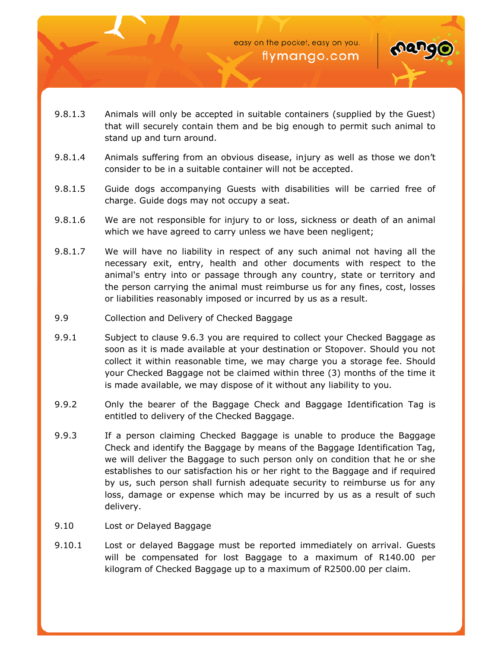

- 9.8.1.3 Animals will only be accepted in suitable containers (supplied by the Guest) that will securely contain them and be big enough to permit such animal to stand up and turn around.
- 9.8.1.4 Animals suffering from an obvious disease, injury as well as those we don't consider to be in a suitable container will not be accepted.
- 9.8.1.5 Guide dogs accompanying Guests with disabilities will be carried free of charge. Guide dogs may not occupy a seat.
- 9.8.1.6 We are not responsible for injury to or loss, sickness or death of an animal which we have agreed to carry unless we have been negligent;
- 9.8.1.7 We will have no liability in respect of any such animal not having all the necessary exit, entry, health and other documents with respect to the animal's entry into or passage through any country, state or territory and the person carrying the animal must reimburse us for any fines, cost, losses or liabilities reasonably imposed or incurred by us as a result.
- 9.9 Collection and Delivery of Checked Baggage
- 9.9.1 Subject to clause 9.6.3 you are required to collect your Checked Baggage as soon as it is made available at your destination or Stopover. Should you not collect it within reasonable time, we may charge you a storage fee. Should your Checked Baggage not be claimed within three (3) months of the time it is made available, we may dispose of it without any liability to you.
- 9.9.2 Only the bearer of the Baggage Check and Baggage Identification Tag is entitled to delivery of the Checked Baggage.
- 9.9.3 If a person claiming Checked Baggage is unable to produce the Baggage Check and identify the Baggage by means of the Baggage Identification Tag, we will deliver the Baggage to such person only on condition that he or she establishes to our satisfaction his or her right to the Baggage and if required by us, such person shall furnish adequate security to reimburse us for any loss, damage or expense which may be incurred by us as a result of such delivery.
- 9.10 Lost or Delayed Baggage
- 9.10.1 Lost or delayed Baggage must be reported immediately on arrival. Guests will be compensated for lost Baggage to a maximum of R140.00 per kilogram of Checked Baggage up to a maximum of R2500.00 per claim.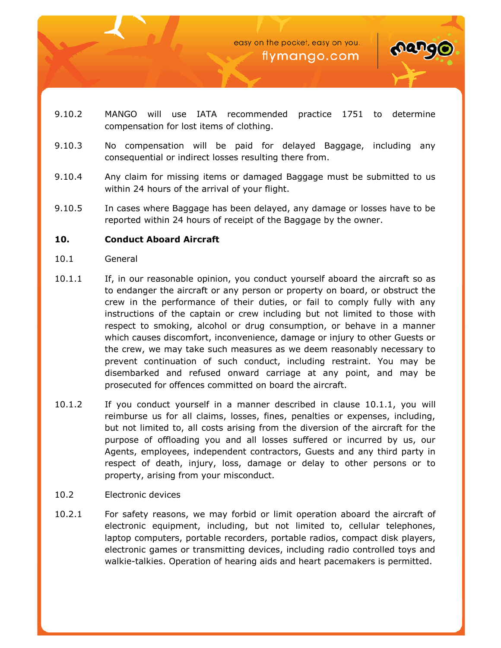



- 9.10.2 MANGO will use IATA recommended practice 1751 to determine compensation for lost items of clothing.
- 9.10.3 No compensation will be paid for delayed Baggage, including any consequential or indirect losses resulting there from.
- 9.10.4 Any claim for missing items or damaged Baggage must be submitted to us within 24 hours of the arrival of your flight.
- 9.10.5 In cases where Baggage has been delayed, any damage or losses have to be reported within 24 hours of receipt of the Baggage by the owner.

## **10. Conduct Aboard Aircraft**

- 10.1 General
- 10.1.1 If, in our reasonable opinion, you conduct yourself aboard the aircraft so as to endanger the aircraft or any person or property on board, or obstruct the crew in the performance of their duties, or fail to comply fully with any instructions of the captain or crew including but not limited to those with respect to smoking, alcohol or drug consumption, or behave in a manner which causes discomfort, inconvenience, damage or injury to other Guests or the crew, we may take such measures as we deem reasonably necessary to prevent continuation of such conduct, including restraint. You may be disembarked and refused onward carriage at any point, and may be prosecuted for offences committed on board the aircraft.
- 10.1.2 If you conduct yourself in a manner described in clause 10.1.1, you will reimburse us for all claims, losses, fines, penalties or expenses, including, but not limited to, all costs arising from the diversion of the aircraft for the purpose of offloading you and all losses suffered or incurred by us, our Agents, employees, independent contractors, Guests and any third party in respect of death, injury, loss, damage or delay to other persons or to property, arising from your misconduct.
- 10.2 Electronic devices
- 10.2.1 For safety reasons, we may forbid or limit operation aboard the aircraft of electronic equipment, including, but not limited to, cellular telephones, laptop computers, portable recorders, portable radios, compact disk players, electronic games or transmitting devices, including radio controlled toys and walkie-talkies. Operation of hearing aids and heart pacemakers is permitted.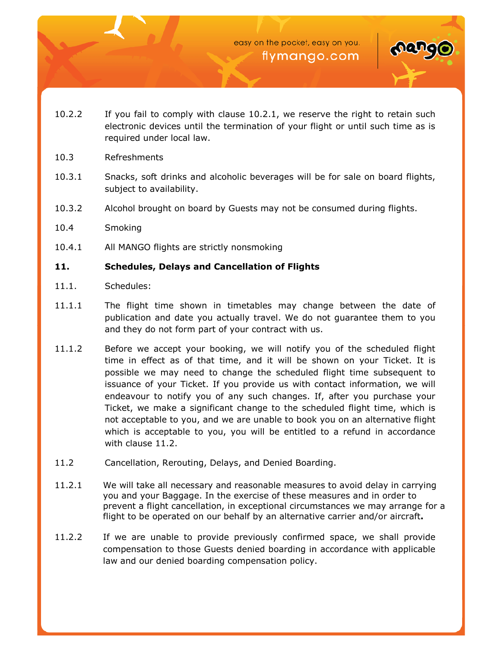

- 10.2.2 If you fail to comply with clause 10.2.1, we reserve the right to retain such electronic devices until the termination of your flight or until such time as is required under local law.
- 10.3 Refreshments
- 10.3.1 Snacks, soft drinks and alcoholic beverages will be for sale on board flights, subject to availability.
- 10.3.2 Alcohol brought on board by Guests may not be consumed during flights.
- 10.4 Smoking
- 10.4.1 All MANGO flights are strictly nonsmoking

## **11. Schedules, Delays and Cancellation of Flights**

- 11.1. Schedules:
- 11.1.1 The flight time shown in timetables may change between the date of publication and date you actually travel. We do not guarantee them to you and they do not form part of your contract with us.
- 11.1.2 Before we accept your booking, we will notify you of the scheduled flight time in effect as of that time, and it will be shown on your Ticket. It is possible we may need to change the scheduled flight time subsequent to issuance of your Ticket. If you provide us with contact information, we will endeavour to notify you of any such changes. If, after you purchase your Ticket, we make a significant change to the scheduled flight time, which is not acceptable to you, and we are unable to book you on an alternative flight which is acceptable to you, you will be entitled to a refund in accordance with clause 11.2.
- 11.2 Cancellation, Rerouting, Delays, and Denied Boarding.
- 11.2.1 We will take all necessary and reasonable measures to avoid delay in carrying you and your Baggage. In the exercise of these measures and in order to prevent a flight cancellation, in exceptional circumstances we may arrange for a flight to be operated on our behalf by an alternative carrier and/or aircraft**.**
- 11.2.2 If we are unable to provide previously confirmed space, we shall provide compensation to those Guests denied boarding in accordance with applicable law and our denied boarding compensation policy.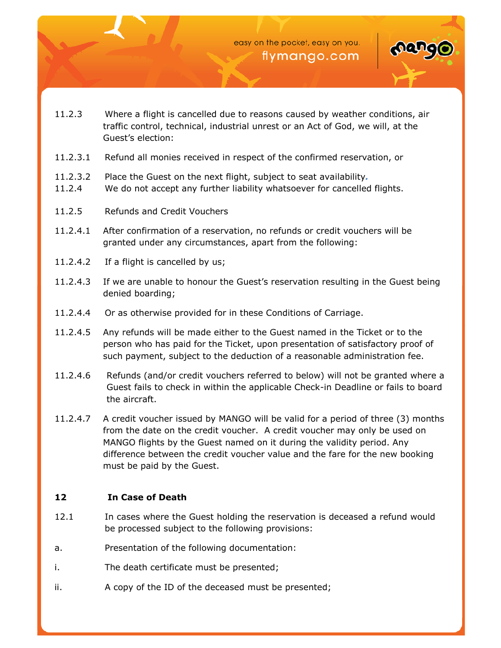

- 11.2.3 Where a flight is cancelled due to reasons caused by weather conditions, air traffic control, technical, industrial unrest or an Act of God, we will, at the Guest's election:
- 11.2.3.1 Refund all monies received in respect of the confirmed reservation, or
- 11.2.3.2 Place the Guest on the next flight, subject to seat availability*.*
- 11.2.4 We do not accept any further liability whatsoever for cancelled flights.
- 11.2.5 Refunds and Credit Vouchers
- 11.2.4.1 After confirmation of a reservation, no refunds or credit vouchers will be granted under any circumstances, apart from the following:
- 11.2.4.2 If a flight is cancelled by us;
- 11.2.4.3 If we are unable to honour the Guest's reservation resulting in the Guest being denied boarding;
- 11.2.4.4 Or as otherwise provided for in these Conditions of Carriage.
- 11.2.4.5 Any refunds will be made either to the Guest named in the Ticket or to the person who has paid for the Ticket, upon presentation of satisfactory proof of such payment, subject to the deduction of a reasonable administration fee.
- 11.2.4.6 Refunds (and/or credit vouchers referred to below) will not be granted where a Guest fails to check in within the applicable Check-in Deadline or fails to board the aircraft.
- 11.2.4.7 A credit voucher issued by MANGO will be valid for a period of three (3) months from the date on the credit voucher. A credit voucher may only be used on MANGO flights by the Guest named on it during the validity period. Any difference between the credit voucher value and the fare for the new booking must be paid by the Guest.

## **12 In Case of Death**

- 12.1 In cases where the Guest holding the reservation is deceased a refund would be processed subject to the following provisions:
- a. Presentation of the following documentation:
- i. The death certificate must be presented;
- ii. A copy of the ID of the deceased must be presented;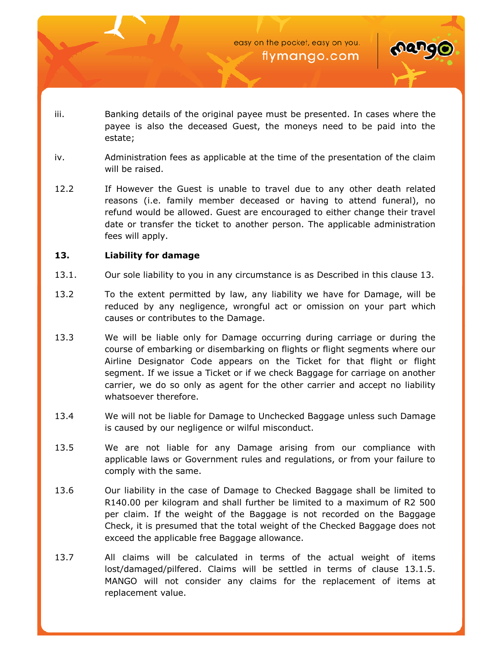

- iii. Banking details of the original payee must be presented. In cases where the payee is also the deceased Guest, the moneys need to be paid into the estate;
- iv. Administration fees as applicable at the time of the presentation of the claim will be raised.
- 12.2 If However the Guest is unable to travel due to any other death related reasons (i.e. family member deceased or having to attend funeral), no refund would be allowed. Guest are encouraged to either change their travel date or transfer the ticket to another person. The applicable administration fees will apply.

## **13. Liability for damage**

- 13.1. Our sole liability to you in any circumstance is as Described in this clause 13.
- 13.2 To the extent permitted by law, any liability we have for Damage, will be reduced by any negligence, wrongful act or omission on your part which causes or contributes to the Damage.
- 13.3 We will be liable only for Damage occurring during carriage or during the course of embarking or disembarking on flights or flight segments where our Airline Designator Code appears on the Ticket for that flight or flight segment. If we issue a Ticket or if we check Baggage for carriage on another carrier, we do so only as agent for the other carrier and accept no liability whatsoever therefore.
- 13.4 We will not be liable for Damage to Unchecked Baggage unless such Damage is caused by our negligence or wilful misconduct.
- 13.5 We are not liable for any Damage arising from our compliance with applicable laws or Government rules and regulations, or from your failure to comply with the same.
- 13.6 Our liability in the case of Damage to Checked Baggage shall be limited to R140.00 per kilogram and shall further be limited to a maximum of R2 500 per claim. If the weight of the Baggage is not recorded on the Baggage Check, it is presumed that the total weight of the Checked Baggage does not exceed the applicable free Baggage allowance.
- 13.7 All claims will be calculated in terms of the actual weight of items lost/damaged/pilfered. Claims will be settled in terms of clause 13.1.5. MANGO will not consider any claims for the replacement of items at replacement value.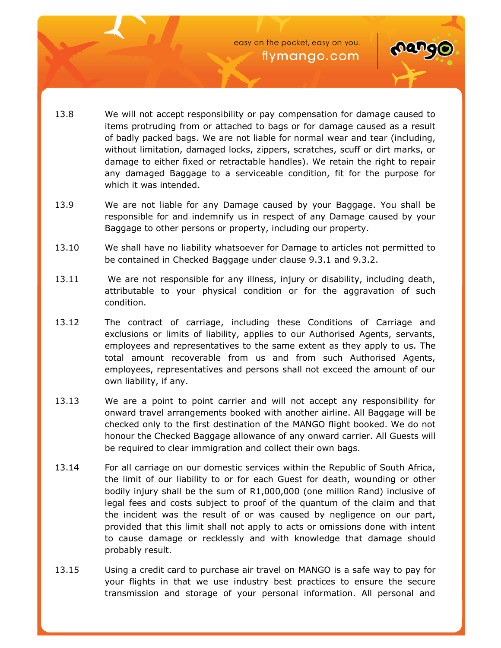

- 13.8 We will not accept responsibility or pay compensation for damage caused to items protruding from or attached to bags or for damage caused as a result of badly packed bags. We are not liable for normal wear and tear (including, without limitation, damaged locks, zippers, scratches, scuff or dirt marks, or damage to either fixed or retractable handles). We retain the right to repair any damaged Baggage to a serviceable condition, fit for the purpose for which it was intended.
- 13.9 We are not liable for any Damage caused by your Baggage. You shall be responsible for and indemnify us in respect of any Damage caused by your Baggage to other persons or property, including our property.
- 13.10 We shall have no liability whatsoever for Damage to articles not permitted to be contained in Checked Baggage under clause 9.3.1 and 9.3.2.
- 13.11 We are not responsible for any illness, injury or disability, including death, attributable to your physical condition or for the aggravation of such condition.
- 13.12 The contract of carriage, including these Conditions of Carriage and exclusions or limits of liability, applies to our Authorised Agents, servants, employees and representatives to the same extent as they apply to us. The total amount recoverable from us and from such Authorised Agents, employees, representatives and persons shall not exceed the amount of our own liability, if any.
- 13.13 We are a point to point carrier and will not accept any responsibility for onward travel arrangements booked with another airline. All Baggage will be checked only to the first destination of the MANGO flight booked. We do not honour the Checked Baggage allowance of any onward carrier. All Guests will be required to clear immigration and collect their own bags.
- 13.14 For all carriage on our domestic services within the Republic of South Africa, the limit of our liability to or for each Guest for death, wounding or other bodily injury shall be the sum of R1,000,000 (one million Rand) inclusive of legal fees and costs subject to proof of the quantum of the claim and that the incident was the result of or was caused by negligence on our part, provided that this limit shall not apply to acts or omissions done with intent to cause damage or recklessly and with knowledge that damage should probably result.
- 13.15 Using a credit card to purchase air travel on MANGO is a safe way to pay for your flights in that we use industry best practices to ensure the secure transmission and storage of your personal information. All personal and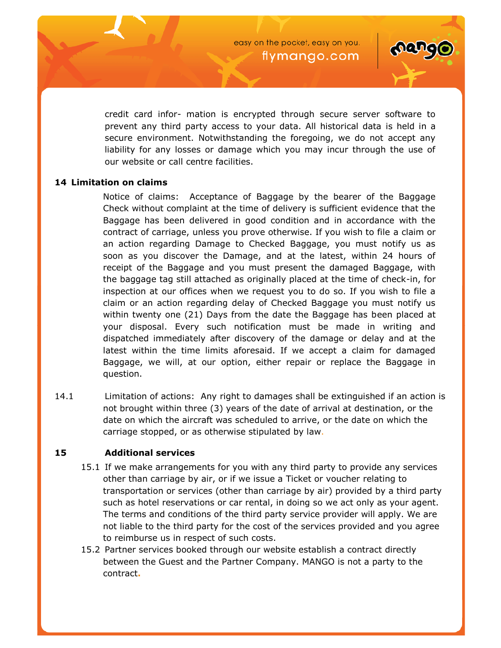

credit card infor- mation is encrypted through secure server software to prevent any third party access to your data. All historical data is held in a secure environment. Notwithstanding the foregoing, we do not accept any liability for any losses or damage which you may incur through the use of our website or call centre facilities.

## **14 Limitation on claims**

Notice of claims: Acceptance of Baggage by the bearer of the Baggage Check without complaint at the time of delivery is sufficient evidence that the Baggage has been delivered in good condition and in accordance with the contract of carriage, unless you prove otherwise. If you wish to file a claim or an action regarding Damage to Checked Baggage, you must notify us as soon as you discover the Damage, and at the latest, within 24 hours of receipt of the Baggage and you must present the damaged Baggage, with the baggage tag still attached as originally placed at the time of check-in, for inspection at our offices when we request you to do so. If you wish to file a claim or an action regarding delay of Checked Baggage you must notify us within twenty one (21) Days from the date the Baggage has been placed at your disposal. Every such notification must be made in writing and dispatched immediately after discovery of the damage or delay and at the latest within the time limits aforesaid. If we accept a claim for damaged Baggage, we will, at our option, either repair or replace the Baggage in question.

14.1 Limitation of actions: Any right to damages shall be extinguished if an action is not brought within three (3) years of the date of arrival at destination, or the date on which the aircraft was scheduled to arrive, or the date on which the carriage stopped, or as otherwise stipulated by law.

## **15 Additional services**

- 15.1 If we make arrangements for you with any third party to provide any services other than carriage by air, or if we issue a Ticket or voucher relating to transportation or services (other than carriage by air) provided by a third party such as hotel reservations or car rental, in doing so we act only as your agent. The terms and conditions of the third party service provider will apply. We are not liable to the third party for the cost of the services provided and you agree to reimburse us in respect of such costs.
- 15.2 Partner services booked through our website establish a contract directly between the Guest and the Partner Company. MANGO is not a party to the contract**.**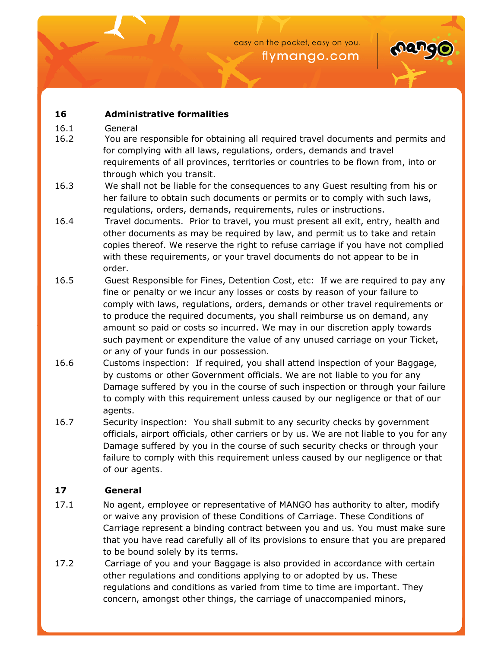

# **16 Administrative formalities**

- 16.1 General
- 16.2 You are responsible for obtaining all required travel documents and permits and for complying with all laws, regulations, orders, demands and travel requirements of all provinces, territories or countries to be flown from, into or through which you transit.
- 16.3 We shall not be liable for the consequences to any Guest resulting from his or her failure to obtain such documents or permits or to comply with such laws, regulations, orders, demands, requirements, rules or instructions.
- 16.4 Travel documents. Prior to travel, you must present all exit, entry, health and other documents as may be required by law, and permit us to take and retain copies thereof. We reserve the right to refuse carriage if you have not complied with these requirements, or your travel documents do not appear to be in order.
- 16.5 Guest Responsible for Fines, Detention Cost, etc: If we are required to pay any fine or penalty or we incur any losses or costs by reason of your failure to comply with laws, regulations, orders, demands or other travel requirements or to produce the required documents, you shall reimburse us on demand, any amount so paid or costs so incurred. We may in our discretion apply towards such payment or expenditure the value of any unused carriage on your Ticket, or any of your funds in our possession.
- 16.6 Customs inspection: If required, you shall attend inspection of your Baggage, by customs or other Government officials. We are not liable to you for any Damage suffered by you in the course of such inspection or through your failure to comply with this requirement unless caused by our negligence or that of our agents.
- 16.7 Security inspection: You shall submit to any security checks by government officials, airport officials, other carriers or by us. We are not liable to you for any Damage suffered by you in the course of such security checks or through your failure to comply with this requirement unless caused by our negligence or that of our agents.

# **17 General**

- 17.1 No agent, employee or representative of MANGO has authority to alter, modify or waive any provision of these Conditions of Carriage. These Conditions of Carriage represent a binding contract between you and us. You must make sure that you have read carefully all of its provisions to ensure that you are prepared to be bound solely by its terms.
- 17.2 Carriage of you and your Baggage is also provided in accordance with certain other regulations and conditions applying to or adopted by us. These regulations and conditions as varied from time to time are important. They concern, amongst other things, the carriage of unaccompanied minors,